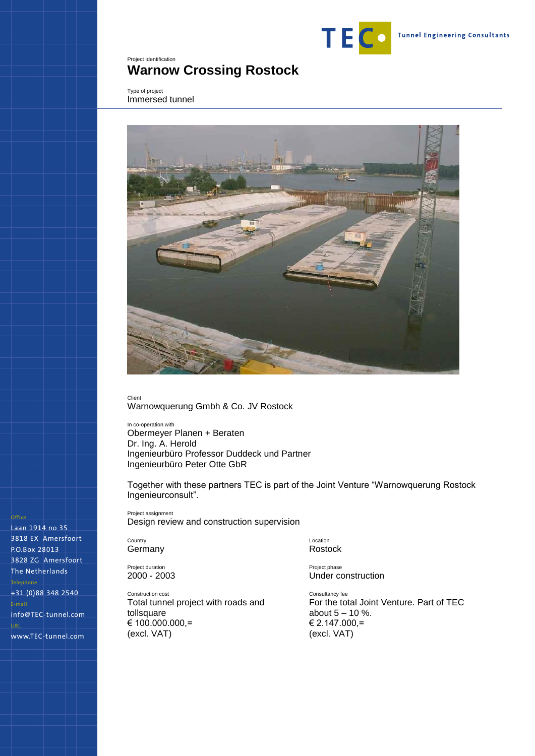

## <span id="page-0-0"></span>Project identification **Warnow Crossing Rostock**

<span id="page-0-1"></span>Type of project Immersed tunnel



Client

Warnowquerung Gmbh & Co. JV Rostock

In co-operation with Obermeyer Planen + Beraten Dr. Ing. A. Herold Ingenieurbüro Professor Duddeck und Partner Ingenieurbüro Peter Otte GbR

Together with these partners TEC is part of the Joint Venture "Warnowquerung Rostock Ingenieurconsult".

Project assignment Design review and construction supervision

Country Germany

Project duration 2000 - 2003

Construction cost Total tunnel project with roads and tollsquare € 100.000.000,= (excl. VAT)

Location Rostock

Project phase Under construction

Consultancy fee For the total Joint Venture. Part of TEC about 5 – 10 %. € 2.147.000,= (excl. VAT)

## Office

Laan 1914 no 35 3818 EX Amersfoort P.O.Box 28013 3828 ZG Amersfoort The Netherlands Telephone +31 (0)88 348 2540 E-mail info@TEC-tunnel.com URL www.TEC-tunnel.com